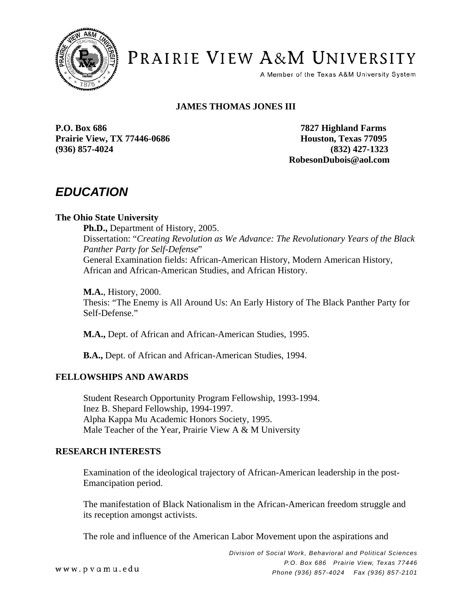

PRAIRIE VIEW A&M UNIVERSITY

A Member of the Texas A&M University System

# **JAMES THOMAS JONES III**

**P.O. Box 686 7827 Highland Farms Prairie View, TX 77446-0686 Houston, Texas 77095 (936) 857-4024 (832) 427-1323** 

 **RobesonDubois@aol.com** 

# *EDUCATION*

## **The Ohio State University**

 **Ph.D.,** Department of History, 2005. Dissertation: "*Creating Revolution as We Advance: The Revolutionary Years of the Black Panther Party for Self-Defense*" General Examination fields: African-American History, Modern American History, African and African-American Studies, and African History.

**M.A.**, History, 2000. Thesis: "The Enemy is All Around Us: An Early History of The Black Panther Party for Self-Defense."

**M.A.,** Dept. of African and African-American Studies, 1995.

**B.A.,** Dept. of African and African-American Studies, 1994.

### **FELLOWSHIPS AND AWARDS**

Student Research Opportunity Program Fellowship, 1993-1994. Inez B. Shepard Fellowship, 1994-1997. Alpha Kappa Mu Academic Honors Society, 1995. Male Teacher of the Year, Prairie View A & M University

### **RESEARCH INTERESTS**

Examination of the ideological trajectory of African-American leadership in the post-Emancipation period.

The manifestation of Black Nationalism in the African-American freedom struggle and its reception amongst activists.

The role and influence of the American Labor Movement upon the aspirations and

www.pvamu.edu